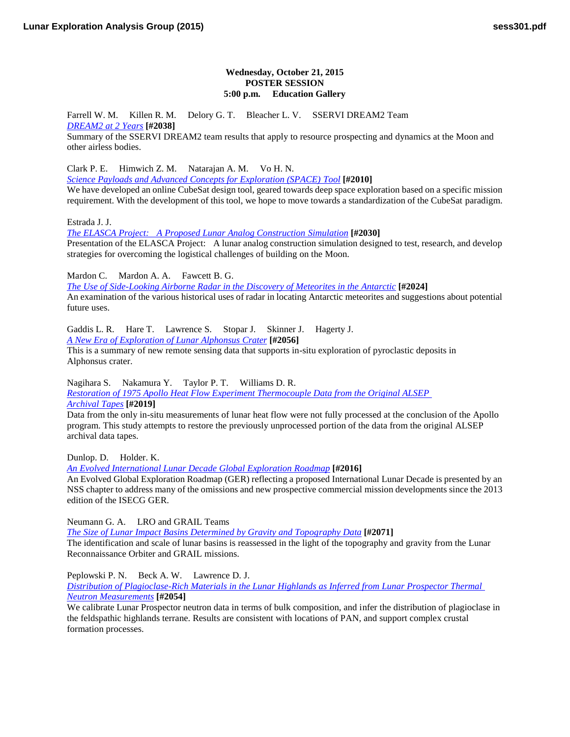## **Wednesday, October 21, 2015 POSTER SESSION 5:00 p.m. Education Gallery**

Farrell W. M. Killen R. M. Delory G. T. Bleacher L. V. SSERVI DREAM2 Team *[DREAM2 at 2](http://www.hou.usra.edu/meetings/leag2015/pdf/2038.pdf) Years* **[#2038]**

Summary of the SSERVI DREAM2 team results that apply to resource prospecting and dynamics at the Moon and other airless bodies.

Clark P. E. Himwich Z. M. Natarajan A. M. Vo H. N.

*[Science Payloads and Advanced Concepts for Exploration \(SPACE\)](http://www.hou.usra.edu/meetings/leag2015/pdf/2010.pdf) Tool* **[#2010]**

We have developed an online CubeSat design tool, geared towards deep space exploration based on a specific mission requirement. With the development of this tool, we hope to move towards a standardization of the CubeSat paradigm.

Estrada J. J.

*[The ELASCA Project: A Proposed Lunar Analog Construction](http://www.hou.usra.edu/meetings/leag2015/pdf/2030.pdf) Simulation* **[#2030]** Presentation of the ELASCA Project: A lunar analog construction simulation designed to test, research, and develop strategies for overcoming the logistical challenges of building on the Moon.

Mardon C. Mardon A. A. Fawcett B. G.

*[The Use of Side-Looking Airborne Radar in the Discovery of Meteorites in the](http://www.hou.usra.edu/meetings/leag2015/pdf/2024.pdf) Antarctic* [#2024] An examination of the various historical uses of radar in locating Antarctic meteorites and suggestions about potential future uses.

Gaddis L. R. Hare T. Lawrence S. Stopar J. Skinner J. Hagerty J.

*[A New Era of Exploration of Lunar Alphonsus](http://www.hou.usra.edu/meetings/leag2015/pdf/2056.pdf) Crater* **[#2056]**

This is a summary of new remote sensing data that supports in-situ exploration of pyroclastic deposits in Alphonsus crater.

Nagihara S. Nakamura Y. Taylor P. T. Williams D. R.

*[Restoration of 1975 Apollo Heat Flow Experiment Thermocouple Data from the Original ALSEP](http://www.hou.usra.edu/meetings/leag2015/pdf/2019.pdf)  [Archival](http://www.hou.usra.edu/meetings/leag2015/pdf/2019.pdf) Tapes* **[#2019]**

Data from the only in-situ measurements of lunar heat flow were not fully processed at the conclusion of the Apollo program. This study attempts to restore the previously unprocessed portion of the data from the original ALSEP archival data tapes.

Dunlop. D. Holder. K.

*[An Evolved International Lunar Decade Global Exploration](http://www.hou.usra.edu/meetings/leag2015/pdf/2016.pdf) Roadmap* **[#2016]**

An Evolved Global Exploration Roadmap (GER) reflecting a proposed International Lunar Decade is presented by an NSS chapter to address many of the omissions and new prospective commercial mission developments since the 2013 edition of the ISECG GER.

Neumann G. A. LRO and GRAIL Teams

*[The Size of Lunar Impact Basins Determined by Gravity and Topography](http://www.hou.usra.edu/meetings/leag2015/pdf/2071.pdf) Data* **[#2071]** The identification and scale of lunar basins is reassessed in the light of the topography and gravity from the Lunar Reconnaissance Orbiter and GRAIL missions.

Peplowski P. N. Beck A. W. Lawrence D. J.

*[Distribution of Plagioclase-Rich Materials in the Lunar Highlands as Inferred from Lunar Prospector Thermal](http://www.hou.usra.edu/meetings/leag2015/pdf/2054.pdf)  Neutron [Measurements](http://www.hou.usra.edu/meetings/leag2015/pdf/2054.pdf)* **[#2054]**

We calibrate Lunar Prospector neutron data in terms of bulk composition, and infer the distribution of plagioclase in the feldspathic highlands terrane. Results are consistent with locations of PAN, and support complex crustal formation processes.